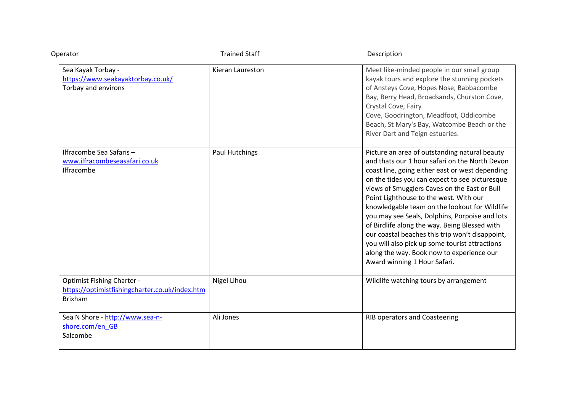| Operator                                                                                              | <b>Trained Staff</b> | Description                                                                                                                                                                                                                                                                                                                                                                                                                                                                                                                                                                                                                          |
|-------------------------------------------------------------------------------------------------------|----------------------|--------------------------------------------------------------------------------------------------------------------------------------------------------------------------------------------------------------------------------------------------------------------------------------------------------------------------------------------------------------------------------------------------------------------------------------------------------------------------------------------------------------------------------------------------------------------------------------------------------------------------------------|
| Sea Kayak Torbay -<br>https://www.seakayaktorbay.co.uk/<br>Torbay and environs                        | Kieran Laureston     | Meet like-minded people in our small group<br>kayak tours and explore the stunning pockets<br>of Ansteys Cove, Hopes Nose, Babbacombe<br>Bay, Berry Head, Broadsands, Churston Cove,<br>Crystal Cove, Fairy<br>Cove, Goodrington, Meadfoot, Oddicombe<br>Beach, St Mary's Bay, Watcombe Beach or the<br>River Dart and Teign estuaries.                                                                                                                                                                                                                                                                                              |
| Ilfracombe Sea Safaris-<br>www.ilfracombeseasafari.co.uk<br>Ilfracombe                                | Paul Hutchings       | Picture an area of outstanding natural beauty<br>and thats our 1 hour safari on the North Devon<br>coast line, going either east or west depending<br>on the tides you can expect to see picturesque<br>views of Smugglers Caves on the East or Bull<br>Point Lighthouse to the west. With our<br>knowledgable team on the lookout for Wildlife<br>you may see Seals, Dolphins, Porpoise and lots<br>of Birdlife along the way. Being Blessed with<br>our coastal beaches this trip won't disappoint,<br>you will also pick up some tourist attractions<br>along the way. Book now to experience our<br>Award winning 1 Hour Safari. |
| <b>Optimist Fishing Charter -</b><br>https://optimistfishingcharter.co.uk/index.htm<br><b>Brixham</b> | Nigel Lihou          | Wildlife watching tours by arrangement                                                                                                                                                                                                                                                                                                                                                                                                                                                                                                                                                                                               |
| Sea N Shore - http://www.sea-n-<br>shore.com/en GB<br>Salcombe                                        | Ali Jones            | <b>RIB operators and Coasteering</b>                                                                                                                                                                                                                                                                                                                                                                                                                                                                                                                                                                                                 |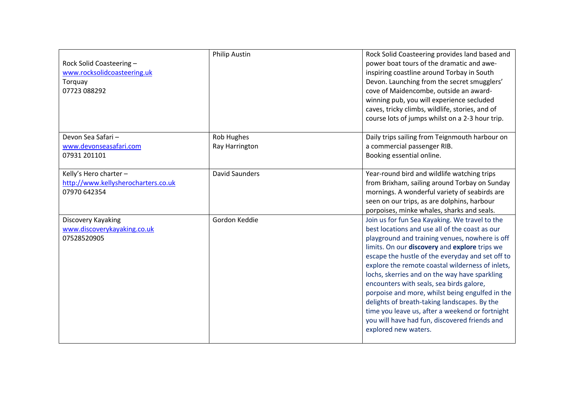| Rock Solid Coasteering -<br>www.rocksolidcoasteering.uk<br>Torquay<br>07723 088292 | Philip Austin                | Rock Solid Coasteering provides land based and<br>power boat tours of the dramatic and awe-<br>inspiring coastline around Torbay in South<br>Devon. Launching from the secret smugglers'<br>cove of Maidencombe, outside an award-<br>winning pub, you will experience secluded<br>caves, tricky climbs, wildlife, stories, and of<br>course lots of jumps whilst on a 2-3 hour trip.                                                                                                                                                                                                                                                   |
|------------------------------------------------------------------------------------|------------------------------|-----------------------------------------------------------------------------------------------------------------------------------------------------------------------------------------------------------------------------------------------------------------------------------------------------------------------------------------------------------------------------------------------------------------------------------------------------------------------------------------------------------------------------------------------------------------------------------------------------------------------------------------|
| Devon Sea Safari -<br>www.devonseasafari.com<br>07931 201101                       | Rob Hughes<br>Ray Harrington | Daily trips sailing from Teignmouth harbour on<br>a commercial passenger RIB.<br>Booking essential online.                                                                                                                                                                                                                                                                                                                                                                                                                                                                                                                              |
| Kelly's Hero charter -<br>http://www.kellysherocharters.co.uk<br>07970 642354      | <b>David Saunders</b>        | Year-round bird and wildlife watching trips<br>from Brixham, sailing around Torbay on Sunday<br>mornings. A wonderful variety of seabirds are<br>seen on our trips, as are dolphins, harbour<br>porpoises, minke whales, sharks and seals.                                                                                                                                                                                                                                                                                                                                                                                              |
| Discovery Kayaking<br>www.discoverykayaking.co.uk<br>07528520905                   | Gordon Keddie                | Join us for fun Sea Kayaking. We travel to the<br>best locations and use all of the coast as our<br>playground and training venues, nowhere is off<br>limits. On our discovery and explore trips we<br>escape the hustle of the everyday and set off to<br>explore the remote coastal wilderness of inlets,<br>lochs, skerries and on the way have sparkling<br>encounters with seals, sea birds galore,<br>porpoise and more, whilst being engulfed in the<br>delights of breath-taking landscapes. By the<br>time you leave us, after a weekend or fortnight<br>you will have had fun, discovered friends and<br>explored new waters. |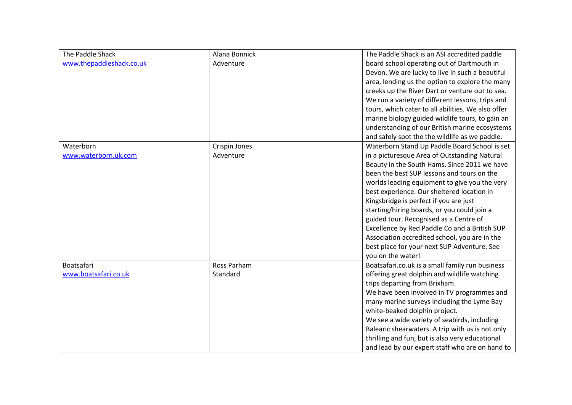| The Paddle Shack         | Alana Bonnick | The Paddle Shack is an ASI accredited paddle       |
|--------------------------|---------------|----------------------------------------------------|
| www.thepaddleshack.co.uk | Adventure     | board school operating out of Dartmouth in         |
|                          |               | Devon. We are lucky to live in such a beautiful    |
|                          |               | area, lending us the option to explore the many    |
|                          |               | creeks up the River Dart or venture out to sea.    |
|                          |               | We run a variety of different lessons, trips and   |
|                          |               | tours, which cater to all abilities. We also offer |
|                          |               | marine biology guided wildlife tours, to gain an   |
|                          |               | understanding of our British marine ecosystems     |
|                          |               | and safely spot the the wildlife as we paddle.     |
| Waterborn                | Crispin Jones | Waterborn Stand Up Paddle Board School is set      |
| www.waterborn.uk.com     | Adventure     | in a picturesque Area of Outstanding Natural       |
|                          |               | Beauty in the South Hams. Since 2011 we have       |
|                          |               | been the best SUP lessons and tours on the         |
|                          |               | worlds leading equipment to give you the very      |
|                          |               | best experience. Our sheltered location in         |
|                          |               | Kingsbridge is perfect if you are just             |
|                          |               | starting/hiring boards, or you could join a        |
|                          |               | guided tour. Recognised as a Centre of             |
|                          |               | Excellence by Red Paddle Co and a British SUP      |
|                          |               | Association accredited school, you are in the      |
|                          |               | best place for your next SUP Adventure. See        |
|                          |               | you on the water!                                  |
| Boatsafari               | Ross Parham   | Boatsafari.co.uk is a small family run business    |
| www.boatsafari.co.uk     | Standard      | offering great dolphin and wildlife watching       |
|                          |               | trips departing from Brixham.                      |
|                          |               | We have been involved in TV programmes and         |
|                          |               | many marine surveys including the Lyme Bay         |
|                          |               | white-beaked dolphin project.                      |
|                          |               | We see a wide variety of seabirds, including       |
|                          |               | Balearic shearwaters. A trip with us is not only   |
|                          |               | thrilling and fun, but is also very educational    |
|                          |               | and lead by our expert staff who are on hand to    |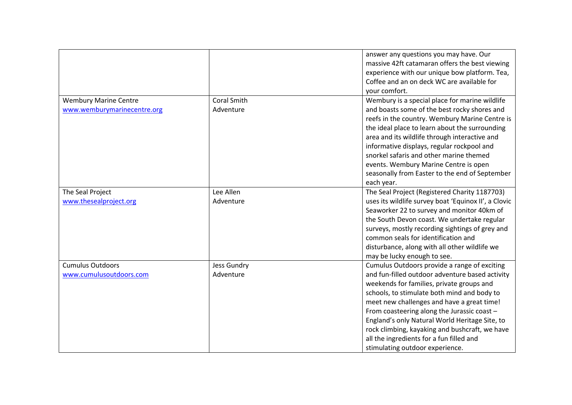|                                                             |                                 | answer any questions you may have. Our<br>massive 42ft catamaran offers the best viewing<br>experience with our unique bow platform. Tea,<br>Coffee and an on deck WC are available for<br>your comfort.                                                                                                                                                                                                                                                                    |
|-------------------------------------------------------------|---------------------------------|-----------------------------------------------------------------------------------------------------------------------------------------------------------------------------------------------------------------------------------------------------------------------------------------------------------------------------------------------------------------------------------------------------------------------------------------------------------------------------|
| <b>Wembury Marine Centre</b><br>www.wemburymarinecentre.org | <b>Coral Smith</b><br>Adventure | Wembury is a special place for marine wildlife<br>and boasts some of the best rocky shores and<br>reefs in the country. Wembury Marine Centre is<br>the ideal place to learn about the surrounding<br>area and its wildlife through interactive and<br>informative displays, regular rockpool and<br>snorkel safaris and other marine themed<br>events. Wembury Marine Centre is open<br>seasonally from Easter to the end of September<br>each year.                       |
| The Seal Project<br>www.thesealproject.org                  | Lee Allen<br>Adventure          | The Seal Project (Registered Charity 1187703)<br>uses its wildlife survey boat 'Equinox II', a Clovic<br>Seaworker 22 to survey and monitor 40km of<br>the South Devon coast. We undertake regular<br>surveys, mostly recording sightings of grey and<br>common seals for identification and<br>disturbance, along with all other wildlife we<br>may be lucky enough to see.                                                                                                |
| <b>Cumulus Outdoors</b><br>www.cumulusoutdoors.com          | Jess Gundry<br>Adventure        | Cumulus Outdoors provide a range of exciting<br>and fun-filled outdoor adventure based activity<br>weekends for families, private groups and<br>schools, to stimulate both mind and body to<br>meet new challenges and have a great time!<br>From coasteering along the Jurassic coast -<br>England's only Natural World Heritage Site, to<br>rock climbing, kayaking and bushcraft, we have<br>all the ingredients for a fun filled and<br>stimulating outdoor experience. |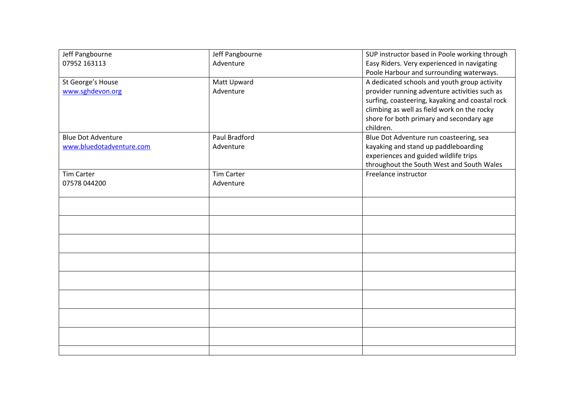| Jeff Pangbourne           | Jeff Pangbourne   | SUP instructor based in Poole working through   |
|---------------------------|-------------------|-------------------------------------------------|
| 07952 163113              | Adventure         | Easy Riders. Very experienced in navigating     |
|                           |                   | Poole Harbour and surrounding waterways.        |
| St George's House         | Matt Upward       | A dedicated schools and youth group activity    |
| www.sghdevon.org          | Adventure         | provider running adventure activities such as   |
|                           |                   | surfing, coasteering, kayaking and coastal rock |
|                           |                   | climbing as well as field work on the rocky     |
|                           |                   | shore for both primary and secondary age        |
|                           |                   | children.                                       |
| <b>Blue Dot Adventure</b> | Paul Bradford     | Blue Dot Adventure run coasteering, sea         |
| www.bluedotadventure.com  | Adventure         | kayaking and stand up paddleboarding            |
|                           |                   | experiences and guided wildlife trips           |
|                           |                   | throughout the South West and South Wales       |
| <b>Tim Carter</b>         | <b>Tim Carter</b> | Freelance instructor                            |
| 07578 044200              | Adventure         |                                                 |
|                           |                   |                                                 |
|                           |                   |                                                 |
|                           |                   |                                                 |
|                           |                   |                                                 |
|                           |                   |                                                 |
|                           |                   |                                                 |
|                           |                   |                                                 |
|                           |                   |                                                 |
|                           |                   |                                                 |
|                           |                   |                                                 |
|                           |                   |                                                 |
|                           |                   |                                                 |
|                           |                   |                                                 |
|                           |                   |                                                 |
|                           |                   |                                                 |